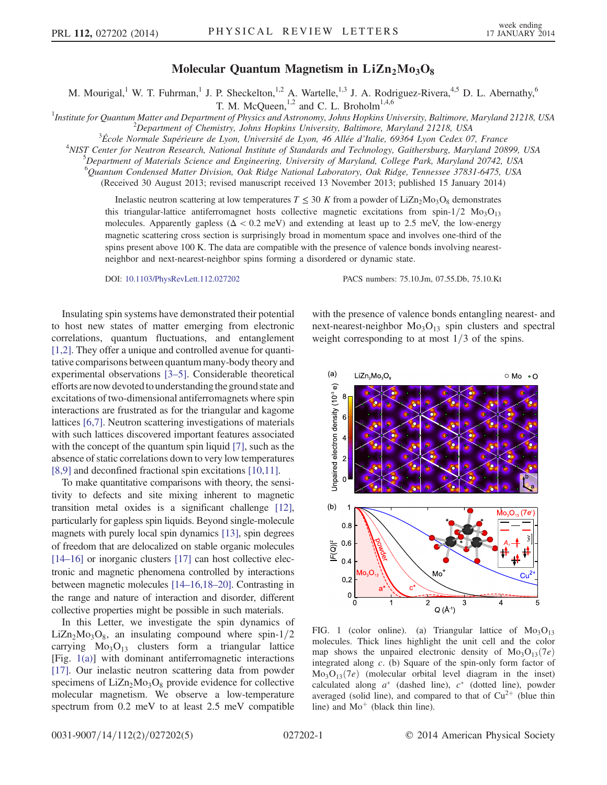## Molecular Quantum Magnetism in  $LiZn<sub>2</sub>Mo<sub>3</sub>O<sub>8</sub>$

M. Mourigal,<sup>1</sup> W. T. Fuhrman,<sup>1</sup> J. P. Sheckelton,<sup>1,2</sup> A. Wartelle,<sup>1,3</sup> J. A. Rodriguez-Rivera,<sup>4,5</sup> D. L. Abernathy,<sup>6</sup>

T. M. McQueen, $^{1,2}$  and C. L. Broholm<sup>1,4,6</sup>

<sup>1</sup>Institute for Quantum Matter and Department of Physics and Astronomy, Johns Hopkins University, Baltimore, Maryland 21218, USA <sup>2</sup>Department of Chamistry, Johns Hopkins University, Paltimore, Maryland 21218, ISSA  $\alpha^2$ Department of Chemistry, Johns Hopkins University, Baltimore, Maryland 21218, USA

École Normale Supérieure de Lyon, Université de Lyon, 46 Allée d*'*Italie, 69364 Lyon Cedex 07, France <sup>4</sup>

<sup>4</sup>NIST Center for Neutron Research, National Institute of Standards and Technology, Gaithersburg, Maryland 20899, USA

 $^5$ Department of Materials Science and Engineering, University of Maryland, College Park, Maryland 20742, USA

6 Quantum Condensed Matter Division, Oak Ridge National Laboratory, Oak Ridge, Tennessee 37831-6475, USA

(Received 30 August 2013; revised manuscript received 13 November 2013; published 15 January 2014)

Inelastic neutron scattering at low temperatures  $T \le 30$  K from a powder of LiZn<sub>2</sub>Mo<sub>3</sub>O<sub>8</sub> demonstrates this triangular-lattice antiferromagnet hosts collective magnetic excitations from spin-1/2  $Mo<sub>3</sub>O<sub>13</sub>$ molecules. Apparently gapless ( $\Delta < 0.2$  meV) and extending at least up to 2.5 meV, the low-energy magnetic scattering cross section is surprisingly broad in momentum space and involves one-third of the spins present above 100 K. The data are compatible with the presence of valence bonds involving nearestneighbor and next-nearest-neighbor spins forming a disordered or dynamic state.

DOI: [10.1103/PhysRevLett.112.027202](http://dx.doi.org/10.1103/PhysRevLett.112.027202) PACS numbers: 75.10.Jm, 07.55.Db, 75.10.Kt

Insulating spin systems have demonstrated their potential to host new states of matter emerging from electronic correlations, quantum fluctuations, and entanglement [\[1,2\].](#page-4-0) They offer a unique and controlled avenue for quantitative comparisons between quantum many-body theory and experimental observations [\[3](#page-4-1)–5]. Considerable theoretical efforts are now devoted to understanding the ground state and excitations of two-dimensional antiferromagnets where spin interactions are frustrated as for the triangular and kagome lattices [\[6,7\].](#page-4-2) Neutron scattering investigations of materials with such lattices discovered important features associated with the concept of the quantum spin liquid [\[7\],](#page-4-3) such as the absence of static correlations down to very low temperatures [\[8,9\]](#page-4-4) and deconfined fractional spin excitations [\[10,11\].](#page-4-5)

To make quantitative comparisons with theory, the sensitivity to defects and site mixing inherent to magnetic transition metal oxides is a significant challenge [\[12\]](#page-4-6), particularly for gapless spin liquids. Beyond single-molecule magnets with purely local spin dynamics [\[13\],](#page-4-7) spin degrees of freedom that are delocalized on stable organic molecules [\[14](#page-4-8)–16] or inorganic clusters [\[17\]](#page-4-9) can host collective electronic and magnetic phenomena controlled by interactions between magnetic molecules [14–[16,18](#page-4-8)–20]. Contrasting in the range and nature of interaction and disorder, different collective properties might be possible in such materials.

In this Letter, we investigate the spin dynamics of  $LiZn<sub>2</sub>Mo<sub>3</sub>O<sub>8</sub>$ , an insulating compound where spin-1/2 carrying  $Mo<sub>3</sub>O<sub>13</sub>$  clusters form a triangular lattice [Fig. [1\(a\)\]](#page-0-0) with dominant antiferromagnetic interactions [\[17\]](#page-4-9). Our inelastic neutron scattering data from powder specimens of  $LiZn_2Mo_3O_8$  provide evidence for collective molecular magnetism. We observe a low-temperature spectrum from 0.2 meV to at least 2.5 meV compatible

with the presence of valence bonds entangling nearest- and next-nearest-neighbor  $Mo<sub>3</sub>O<sub>13</sub>$  spin clusters and spectral weight corresponding to at most  $1/3$  of the spins.

<span id="page-0-0"></span>

FIG. 1 (color online). (a) Triangular lattice of  $Mo<sub>3</sub>O<sub>13</sub>$ molecules. Thick lines highlight the unit cell and the color map shows the unpaired electronic density of  $Mo<sub>3</sub>O<sub>13</sub>(7e)$ integrated along c. (b) Square of the spin-only form factor of  $Mo<sub>3</sub>O<sub>13</sub>(7e)$  (molecular orbital level diagram in the inset) calculated along  $a^*$  (dashed line),  $c^*$  (dotted line), powder averaged (solid line), and compared to that of  $Cu^{2+}$  (blue thin line) and  $Mo^+$  (black thin line).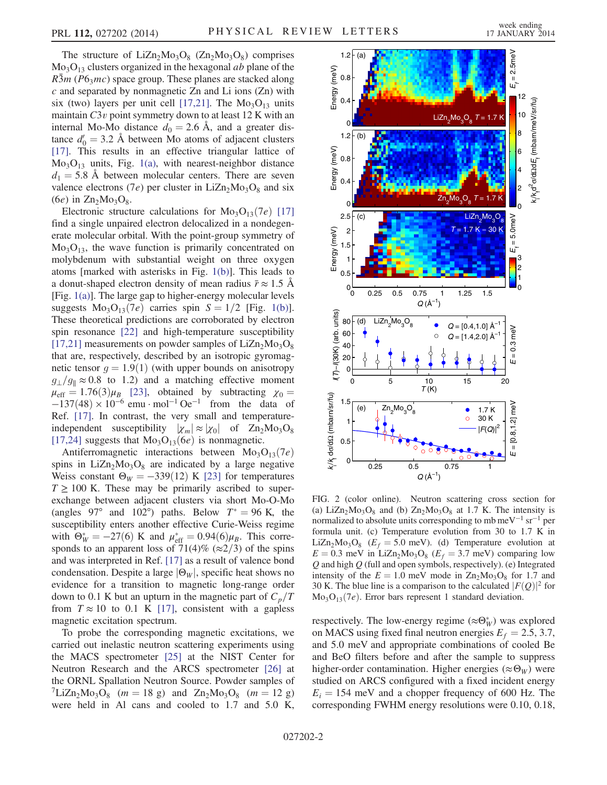The structure of  $LiZn<sub>2</sub>Mo<sub>3</sub>O<sub>8</sub>$  (Zn<sub>2</sub>Mo<sub>3</sub>O<sub>8</sub>) comprises  $Mo<sub>3</sub>O<sub>13</sub>$  clusters organized in the hexagonal *ab* plane of the  $R\bar{3}m$  (P6<sub>3</sub>mc) space group. These planes are stacked along  $c$  and separated by nonmagnetic Zn and Li ions (Zn) with six (two) layers per unit cell [\[17,21\]](#page-4-9). The  $Mo<sub>3</sub>O<sub>13</sub>$  units maintain  $C3v$  point symmetry down to at least 12 K with an internal Mo-Mo distance  $d_0 = 2.6$  A, and a greater distance  $d_0' = 3.2$  Å between Mo atoms of adjacent clusters [\[17\]](#page-4-9). This results in an effective triangular lattice of  $Mo<sub>3</sub>O<sub>13</sub>$  units, Fig. [1\(a\)](#page-0-0), with nearest-neighbor distance  $d_1 = 5.8$  Å between molecular centers. There are seven valence electrons (7e) per cluster in  $LiZn<sub>2</sub>Mo<sub>3</sub>O<sub>8</sub>$  and six (6e) in  $\text{Zn}_2\text{Mo}_3\text{O}_8$ .

Electronic structure calculations for  $Mo<sub>3</sub>O<sub>13</sub>(7e)$  [\[17\]](#page-4-9) find a single unpaired electron delocalized in a nondegenerate molecular orbital. With the point-group symmetry of  $Mo<sub>3</sub>O<sub>13</sub>$ , the wave function is primarily concentrated on molybdenum with substantial weight on three oxygen atoms [marked with asterisks in Fig. [1\(b\)](#page-0-0)]. This leads to a donut-shaped electron density of mean radius  $\bar{r} \approx 1.5$  Å [Fig. [1\(a\)\]](#page-0-0). The large gap to higher-energy molecular levels suggests  $Mo<sub>3</sub>O<sub>13</sub>(7e)$  carries spin  $S = 1/2$  [Fig. [1\(b\)](#page-0-0)]. These theoretical predictions are corroborated by electron spin resonance [\[22\]](#page-4-10) and high-temperature susceptibility [\[17,21\]](#page-4-9) measurements on powder samples of  $LiZn<sub>2</sub>Mo<sub>3</sub>O<sub>8</sub>$ that are, respectively, described by an isotropic gyromagnetic tensor  $g = 1.9(1)$  (with upper bounds on anisotropy  $g_{\perp}/g_{\parallel} \approx 0.8$  to 1.2) and a matching effective moment  $\mu_{\text{eff}} = 1.76(3)\mu_B$  [\[23\]](#page-4-11), obtained by subtracting  $\chi_0 =$  $-137(48) \times 10^{-6}$  emu · mol<sup>-1</sup> Oe<sup>-1</sup> from the data of Ref. [\[17\]](#page-4-9). In contrast, the very small and temperatureindependent susceptibility  $|\chi_m| \approx |\chi_0|$  of  $Zn_2Mo_3O_8$ [\[17,24\]](#page-4-9) suggests that  $Mo<sub>3</sub>O<sub>13</sub>(6e)$  is nonmagnetic.

Antiferromagnetic interactions between  $Mo_{3}O_{13}(7e)$ spins in  $LiZn_2Mo_3O_8$  are indicated by a large negative Weiss constant  $\Theta_W = -339(12)$  K [\[23\]](#page-4-11) for temperatures  $T \geq 100$  K. These may be primarily ascribed to superexchange between adjacent clusters via short Mo-O-Mo (angles 97° and 102°) paths. Below  $T^* = 96$  K, the susceptibility enters another effective Curie-Weiss regime with  $\Theta_W^* = -27(6)$  K and  $\mu_{eff}^* = 0.94(6)\mu_B$ . This corresponds to an apparent loss of 71(4)% ( $\approx$ 2/3) of the spins and was interpreted in Ref. [\[17\]](#page-4-9) as a result of valence bond condensation. Despite a large  $|\Theta_W|$ , specific heat shows no evidence for a transition to magnetic long-range order down to 0.1 K but an upturn in the magnetic part of  $C_p/T$ from  $T \approx 10$  to 0.1 K [\[17\]](#page-4-9), consistent with a gapless magnetic excitation spectrum.

To probe the corresponding magnetic excitations, we carried out inelastic neutron scattering experiments using the MACS spectrometer [\[25\]](#page-4-12) at the NIST Center for Neutron Research and the ARCS spectrometer [\[26\]](#page-4-13) at the ORNL Spallation Neutron Source. Powder samples of  ${}^{7}LiZn_2Mo_3O_8$  (m = 18 g) and  $Zn_2Mo_3O_8$  (m = 12 g) were held in Al cans and cooled to 1.7 and 5.0 K,

<span id="page-1-0"></span>

FIG. 2 (color online). Neutron scattering cross section for (a) LiZn<sub>2</sub>Mo<sub>3</sub>O<sub>8</sub> and (b)  $Zn_2M_0$ <sub>3</sub>O<sub>8</sub> at 1.7 K. The intensity is normalized to absolute units corresponding to mb meV<sup>-1</sup> sr<sup>-1</sup> per formula unit. (c) Temperature evolution from 30 to 1.7 K in LiZn<sub>2</sub>Mo<sub>3</sub>O<sub>8</sub> ( $E_f$  = 5.0 meV). (d) Temperature evolution at  $E = 0.3$  meV in LiZn<sub>2</sub>Mo<sub>3</sub>O<sub>8</sub> ( $E_f = 3.7$  meV) comparing low  $Q$  and high  $Q$  (full and open symbols, respectively). (e) Integrated intensity of the  $E = 1.0$  meV mode in  $\text{Zn}_2\text{Mo}_3\text{O}_8$  for 1.7 and 30 K. The blue line is a comparison to the calculated  $|F(Q)|^2$  for  $Mo<sub>3</sub>O<sub>13</sub>(7e)$ . Error bars represent 1 standard deviation.

respectively. The low-energy regime  $(\approx \Theta_W^*)$  was explored on MACS using fixed final neutron energies  $E_f = 2.5, 3.7,$ and 5.0 meV and appropriate combinations of cooled Be and BeO filters before and after the sample to suppress higher-order contamination. Higher energies ( $\approx \Theta_W$ ) were studied on ARCS configured with a fixed incident energy  $E_i = 154$  meV and a chopper frequency of 600 Hz. The corresponding FWHM energy resolutions were 0.10, 0.18,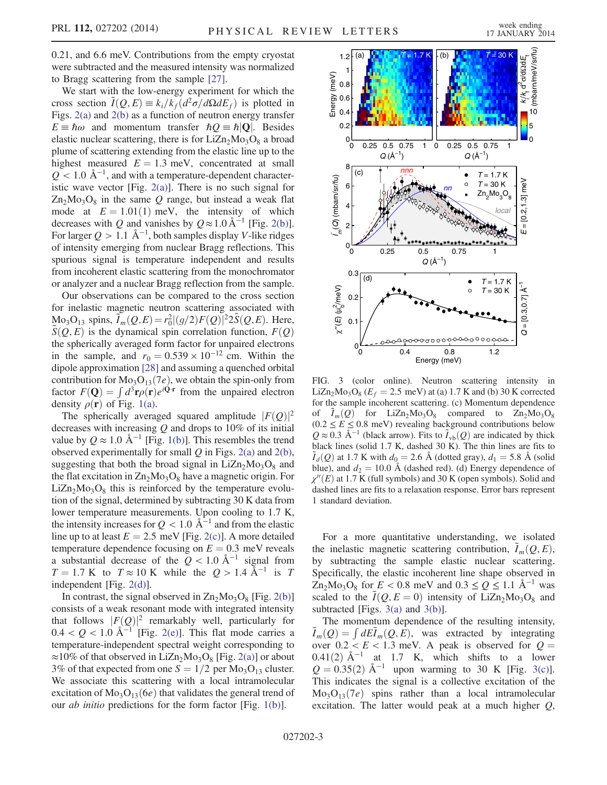0.21, and 6.6 meV. Contributions from the empty cryostat were subtracted and the measured intensity was normalized to Bragg scattering from the sample [\[27\]](#page-4-14).

We start with the low-energy experiment for which the cross section  $\tilde{I}(Q, E) \equiv k_i / k_f (d^2 \sigma / d\Omega dE_f)$  is plotted in Figs. [2\(a\)](#page-1-0) and [2\(b\)](#page-1-0) as a function of neutron energy transfer  $E \equiv \hbar \omega$  and momentum transfer  $\hbar Q \equiv \hbar |\mathbf{Q}|$ . Besides elastic nuclear scattering, there is for  $LiZn<sub>2</sub>Mo<sub>3</sub>O<sub>8</sub>$  a broad plume of scattering extending from the elastic line up to the highest measured  $E = 1.3$  meV, concentrated at small  $Q$  < 1.0 Å<sup>-1</sup>, and with a temperature-dependent characteristic wave vector [Fig. [2\(a\)](#page-1-0)]. There is no such signal for  $Zn_2Mo_3O_8$  in the same Q range, but instead a weak flat mode at  $E = 1.01(1)$  meV, the intensity of which decreases with Q and vanishes by  $Q \approx 1.0 \,\text{\AA}^{-1}$  [Fig. [2\(b\)](#page-1-0)]. For larger  $Q > 1.1 \text{ Å}^{-1}$ , both samples display V-like ridges of intensity emerging from nuclear Bragg reflections. This spurious signal is temperature independent and results from incoherent elastic scattering from the monochromator or analyzer and a nuclear Bragg reflection from the sample.

Our observations can be compared to the cross section for inelastic magnetic neutron scattering associated with  $\text{Mo}_3\text{O}_{13}$  spins,  $\widetilde{I}_m(Q,E) = r_0^2|(g/2)F(Q)|^2 2\widetilde{S}(Q,E)$ . Here,  $S(Q, E)$  is the dynamical spin correlation function,  $F(Q)$ the spherically averaged form factor for unpaired electrons in the sample, and  $r_0 = 0.539 \times 10^{-12}$  cm. Within the dipole approximation [\[28\]](#page-4-15) and assuming a quenched orbital contribution for  $Mo<sub>3</sub>O<sub>13</sub>(7e)$ , we obtain the spin-only from factor  $F(\mathbf{Q}) = \int d^3\mathbf{r} \rho(\mathbf{r}) e^{i\mathbf{Q}\cdot\mathbf{r}}$  from the unpaired electron density  $\rho(\mathbf{r})$  of Fig. [1\(a\)](#page-0-0).

The spherically averaged squared amplitude  $|F(Q)|^2$ decreases with increasing  $Q$  and drops to 10% of its initial value by  $Q \approx 1.0 \text{ Å}^{-1}$  [Fig. [1\(b\)](#page-0-0)]. This resembles the trend observed experimentally for small  $Q$  in Figs. [2\(a\)](#page-1-0) and [2\(b\)](#page-1-0), suggesting that both the broad signal in  $LiZn_2Mo_3O_8$  and the flat excitation in  $Zn_2Mo_3O_8$  have a magnetic origin. For  $LiZn<sub>2</sub>Mo<sub>3</sub>O<sub>8</sub>$  this is reinforced by the temperature evolution of the signal, determined by subtracting 30 K data from lower temperature measurements. Upon cooling to 1.7 K, the intensity increases for  $Q < 1.0$  Å<sup> $-1$ </sup> and from the elastic line up to at least  $E = 2.5$  meV [Fig. [2\(c\)\]](#page-1-0). A more detailed temperature dependence focusing on  $E = 0.3$  meV reveals a substantial decrease of the  $Q < 1.0$  Å<sup>-1</sup> signal from  $T = 1.7$  K to  $T \approx 10$  K while the  $Q > 1.4$  Å<sup>-1</sup> is T independent [Fig. [2\(d\)](#page-1-0)].

In contrast, the signal observed in  $Zn_2Mo_3O_8$  [Fig. [2\(b\)\]](#page-1-0) consists of a weak resonant mode with integrated intensity that follows  $|F(Q)|^2$  remarkably well, particularly for  $0.4 < Q < 1.0$  Å<sup> $-1$ </sup> [Fig. [2\(e\)](#page-1-0)]. This flat mode carries a temperature-independent spectral weight corresponding to  $\approx$ 10% of that observed in LiZn<sub>2</sub>Mo<sub>3</sub>O<sub>8</sub> [Fig. [2\(a\)\]](#page-1-0) or about 3% of that expected from one  $S = 1/2$  per Mo<sub>3</sub>O<sub>13</sub> cluster. We associate this scattering with a local intramolecular excitation of  $Mo<sub>3</sub>O<sub>13</sub>(6e)$  that validates the general trend of our ab initio predictions for the form factor [Fig. [1\(b\)](#page-0-0)].

<span id="page-2-0"></span>

FIG. 3 (color online). Neutron scattering intensity in LiZn<sub>2</sub>Mo<sub>3</sub>O<sub>8</sub> ( $E_f$  = 2.5 meV) at (a) 1.7 K and (b) 30 K corrected for the sample incoherent scattering. (c) Momentum dependence of  $\tilde{I}_m(Q)$  for LiZn<sub>2</sub>Mo<sub>3</sub>O<sub>8</sub> compared to Zn<sub>2</sub>Mo<sub>3</sub>O<sub>8</sub>  $(0.2 \le E \le 0.8 \text{ meV})$  revealing background contributions below  $Q \approx 0.3 \text{ Å}^{-1}$  (black arrow). Fits to  $\tilde{I}_{\text{vb}}(Q)$  are indicated by thick black lines (solid 1.7 K, dashed 30 K). The thin lines are fits to  $\tilde{I}_d(Q)$  at 1.7 K with  $d_0 = 2.6$  Å (dotted gray),  $d_1 = 5.8$  Å (solid blue), and  $d_2 = 10.0 \text{ Å}$  (dashed red). (d) Energy dependence of  $\chi''(E)$  at 1.7 K (full symbols) and 30 K (open symbols). Solid and dashed lines are fits to a relaxation response. Error bars represent 1 standard deviation.

For a more quantitative understanding, we isolated the inelastic magnetic scattering contribution,  $\tilde{I}_m(Q, E)$ , by subtracting the sample elastic nuclear scattering. Specifically, the elastic incoherent line shape observed in  $Zn_2Mo_3O_8$  for  $E < 0.8$  meV and  $0.3 \le Q \le 1.1$  Å<sup>-1</sup> was scaled to the  $\tilde{I}(Q, E = 0)$  intensity of LiZn<sub>2</sub>Mo<sub>3</sub>O<sub>8</sub> and subtracted [Figs. [3\(a\)](#page-2-0) and [3\(b\)](#page-2-0)].

The momentum dependence of the resulting intensity,<br>  $\tilde{I}_m(Q) = \int dE \tilde{I}_m(Q, E)$ , was extracted by integrating over  $0.2 < E < 1.3$  meV. A peak is observed for  $Q =$  $0.41(2)$  Å<sup>-1</sup> at 1.7 K, which shifts to a lower  $Q = 0.35(2)$  Å<sup>-1</sup> upon warming to 30 K [Fig. [3\(c\)](#page-2-0)]. This indicates the signal is a collective excitation of the  $Mo<sub>3</sub>O<sub>13</sub>(7e)$  spins rather than a local intramolecular excitation. The latter would peak at a much higher *Q*,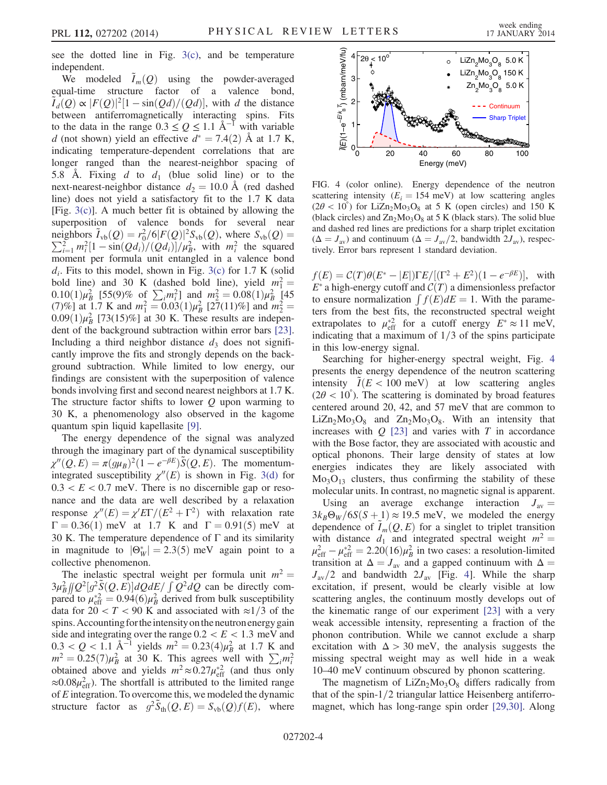see the dotted line in Fig. [3\(c\)](#page-2-0), and be temperature independent.

We modeled  $\tilde{I}_m(Q)$  using the powder-averaged equal-time structure factor of a valence bond,  $\tilde{I}_d(Q) \propto |F(Q)|^2 [1 - \sin(Qd)/(Qd)]$ , with d the distance between antiferromagnetically interacting spins. Fits to the data in the range  $0.3 \le Q \le 1.1$  Å<sup>-1</sup> with variable d (not shown) yield an effective  $d^* = 7.4(2)$  Å at 1.7 K, indicating temperature-dependent correlations that are longer ranged than the nearest-neighbor spacing of 5.8 Å. Fixing d to  $d_1$  (blue solid line) or to the next-nearest-neighbor distance  $d_2 = 10.0$  Å (red dashed line) does not yield a satisfactory fit to the 1.7 K data [Fig. [3\(c\)](#page-2-0)]. A much better fit is obtained by allowing the superposition of valence bonds for several near neighbors  $\tilde{I}_{\text{vb}}(Q) = r_0^2/6|F(Q)|^2S_{\text{vb}}(Q)$ , where  $S_{\text{vb}}(Q) =$  $\sum_{i=1}^{2} m_i^2 [1 - \sin(Qd_i)/(Qd_i)]/\mu_B^2$ , with  $m_i^2$  the squared moment per formula unit entangled in a valence bond  $d_i$ . Fits to this model, shown in Fig. [3\(c\)](#page-2-0) for 1.7 K (solid bold line) and 30 K (dashed bold line), yield  $m_1^2 =$  $(0.10(1)\mu_B^2)$  [55(9)% of  $\sum_i m_i^2$ ] and  $m_2^2 = 0.08(1)\mu_B^2$  [45] (7)%] at 1.7 K and  $m_1^2 = 0.03(1)\mu_B^2$  [27(11)%] and  $m_2^2 =$  $0.09(1)\mu_B^2$  [73(15)%] at 30 K. These results are independent of the background subtraction within error bars [\[23\]](#page-4-11). Including a third neighbor distance  $d_3$  does not significantly improve the fits and strongly depends on the background subtraction. While limited to low energy, our findings are consistent with the superposition of valence bonds involving first and second nearest neighbors at 1.7 K. The structure factor shifts to lower  $Q$  upon warming to 30 K, a phenomenology also observed in the kagome quantum spin liquid kapellasite [\[9\].](#page-4-16)

The energy dependence of the signal was analyzed through the imaginary part of the dynamical susceptibility  $\chi''(Q,E) = \pi (g\mu_B)^2 (1 - e^{-\beta E}) \tilde{S}(Q,E)$ . The momentumintegrated susceptibility  $\chi''(E)$  is shown in Fig. [3\(d\)](#page-2-0) for  $0.3 < E < 0.7$  meV. There is no discernible gap or resonance and the data are well described by a relaxation response  $\chi''(E) = \chi' E \Gamma/(E^2 + \Gamma^2)$  with relaxation rate  $\Gamma = 0.36(1)$  meV at 1.7 K and  $\Gamma = 0.91(5)$  meV at 30 K. The temperature dependence of  $\Gamma$  and its similarity in magnitude to  $|\Theta_W^*| = 2.3(5)$  meV again point to a collective phenomenon.

The inelastic spectral weight per formula unit  $m^2 =$  $3\mu_B^2$   $[(Q^2(g^2S(Q, E))]dQdE/\int Q^2dQ$  can be directly compared to  $\mu_{\text{eff}}^{*2} = 0.94(6)\mu_B^2$  derived from bulk susceptibility data for  $20 < T < 90$  K and associated with  $\approx 1/3$  of the spins. Accounting for the intensity on the neutron energy gain side and integrating over the range  $0.2 < E < 1.3$  meV and  $0.3 < Q < 1.1$  Å<sup>-1</sup> yields  $m^2 = 0.23(4)\mu_B^2$  at 1.7 K and  $m^2 = 0.25(7)\mu_B^2$  at 30 K. This agrees well with  $\sum_i m_i^2$  obtained above and yields  $m^2 \approx 0.27\mu_{\text{eff}}^{*2}$  (and thus only  $\approx 0.08 \mu_{\text{eff}}^2$ ). The shortfall is attributed to the limited range of  $E$  integration. To overcome this, we modeled the dynamic structure factor as  $g^2 \tilde{S}_{th}(Q, E) = S_{vb}(Q) f(E)$ , where

<span id="page-3-0"></span>

FIG. 4 (color online). Energy dependence of the neutron scattering intensity ( $E_i = 154$  meV) at low scattering angles  $(2\theta < 10^{\degree})$  for LiZn<sub>2</sub>Mo<sub>3</sub>O<sub>8</sub> at 5 K (open circles) and 150 K (black circles) and  $Zn_2Mo_3O_8$  at 5 K (black stars). The solid blue and dashed red lines are predictions for a sharp triplet excitation  $(\Delta = J_{\text{av}})$  and continuum  $(\Delta = J_{\text{av}}/2$ , bandwidth  $2J_{\text{av}}$ ), respectively. Error bars represent 1 standard deviation.

 $f(E) = C(T)\theta(E^* - |E|)\Gamma E/[(\Gamma^2 + E^2)(1 - e^{-\beta E})],$  with  $E^*$  a high-energy cutoff and  $C(T)$  a dimensionless prefactor to ensure normalization  $\int f(E)dE = 1$ . With the parameters from the best fits, the reconstructed spectral weight extrapolates to  $\mu_{\text{eff}}^{*2}$  for a cutoff energy  $E^* \approx 11 \text{ meV}$ , indicating that a maximum of  $1/3$  of the spins participate in this low-energy signal.

Searching for higher-energy spectral weight, Fig. [4](#page-3-0) presents the energy dependence of the neutron scattering intensity  $I(E < 100 \text{ meV})$  at low scattering angles  $(2\theta < 10^{\degree})$ . The scattering is dominated by broad features centered around 20, 42, and 57 meV that are common to  $LiZn<sub>2</sub>Mo<sub>3</sub>O<sub>8</sub>$  and  $Zn<sub>2</sub>Mo<sub>3</sub>O<sub>8</sub>$ . With an intensity that increases with  $Q$  [\[23\]](#page-4-11) and varies with  $T$  in accordance with the Bose factor, they are associated with acoustic and optical phonons. Their large density of states at low energies indicates they are likely associated with  $Mo<sub>3</sub>O<sub>13</sub>$  clusters, thus confirming the stability of these molecular units. In contrast, no magnetic signal is apparent.

Using an average exchange interaction  $J_{av} =$  $3k_B\Theta_W/6S(S+1) \approx 19.5$  meV, we modeled the energy dependence of  $\tilde{I}_m(Q, E)$  for a singlet to triplet transition with distance  $d_1$  and integrated spectral weight  $m^2 =$  $\mu_{\text{eff}}^2 - \mu_{\text{eff}}^{*2} = 2.20(16)\mu_B^2$  in two cases: a resolution-limited transition at  $\Delta = J_{av}$  and a gapped continuum with  $\Delta =$  $J_{\text{av}}/2$  and bandwidth  $2J_{\text{av}}$  [Fig. [4\]](#page-3-0). While the sharp excitation, if present, would be clearly visible at low scattering angles, the continuum mostly develops out of the kinematic range of our experiment [\[23\]](#page-4-11) with a very weak accessible intensity, representing a fraction of the phonon contribution. While we cannot exclude a sharp excitation with  $\Delta > 30$  meV, the analysis suggests the missing spectral weight may as well hide in a weak 10–40 meV continuum obscured by phonon scattering.

The magnetism of  $LiZn_2Mo_3O_8$  differs radically from that of the spin- $1/2$  triangular lattice Heisenberg antiferromagnet, which has long-range spin order [\[29,30\]](#page-4-17). Along